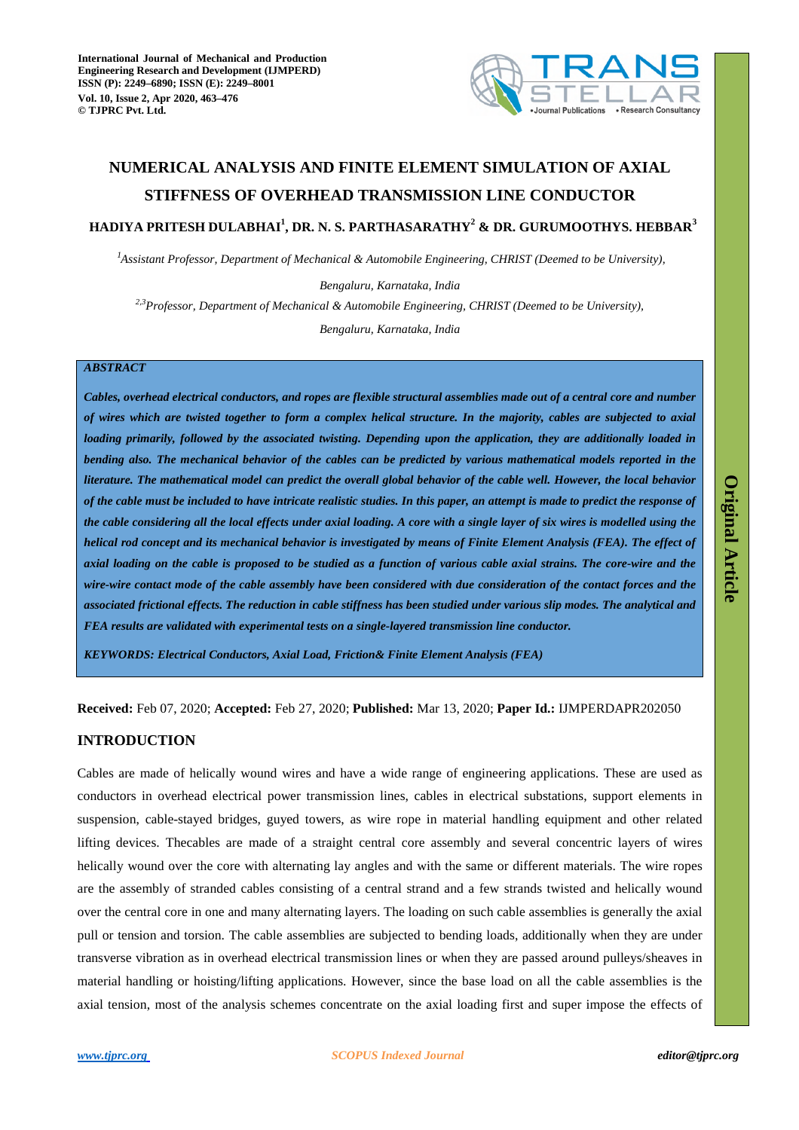

# **NUMERICAL ANALYSIS AND FINITE ELEMENT SIMULATION OF AXIAL STIFFNESS OF OVERHEAD TRANSMISSION LINE CONDUCTOR**

# **HADIYA PRITESH DULABHAI<sup>1</sup> , DR. N. S. PARTHASARATHY<sup>2</sup> & DR. GURUMOOTHYS. HEBBAR<sup>3</sup>**

*Assistant Professor, Department of Mechanical & Automobile Engineering, CHRIST (Deemed to be University), <sup>1</sup>*

*Bengaluru, Karnataka, India Bengaluru, Karnataka, India 2,3Professor, Department of Mechanical & Automobile Engineering, CHRIST (Deemed to be University),* 

# *ABSTRACT*

*Cables, overhead electrical conductors, and ropes are flexible structural assemblies made out of a central core and number of wires which are twisted together to form a complex helical structure. In the majority, cables are subjected to axial loading primarily, followed by the associated twisting. Depending upon the application, they are additionally loaded in bending also. The mechanical behavior of the cables can be predicted by various mathematical models reported in the literature. The mathematical model can predict the overall global behavior of the cable well. However, the local behavior of the cable must be included to have intricate realistic studies. In this paper, an attempt is made to predict the response of the cable considering all the local effects under axial loading. A core with a single layer of six wires is modelled using the helical rod concept and its mechanical behavior is investigated by means of Finite Element Analysis (FEA). The effect of axial loading on the cable is proposed to be studied as a function of various cable axial strains. The core-wire and the wire-wire contact mode of the cable assembly have been considered with due consideration of the contact forces and the associated frictional effects. The reduction in cable stiffness has been studied under various slip modes. The analytical and FEA results are validated with experimental tests on a single-layered transmission line conductor.* 

*KEYWORDS: Electrical Conductors, Axial Load, Friction& Finite Element Analysis (FEA)* 

**Received:** Feb 07, 2020; **Accepted:** Feb 27, 2020; **Published:** Mar 13, 2020; **Paper Id.:** IJMPERDAPR202050

# **INTRODUCTION**

Cables are made of helically wound wires and have a wide range of engineering applications. These are used as conductors in overhead electrical power transmission lines, cables in electrical substations, support elements in suspension, cable-stayed bridges, guyed towers, as wire rope in material handling equipment and other related lifting devices. Thecables are made of a straight central core assembly and several concentric layers of wires helically wound over the core with alternating lay angles and with the same or different materials. The wire ropes are the assembly of stranded cables consisting of a central strand and a few strands twisted and helically wound over the central core in one and many alternating layers. The loading on such cable assemblies is generally the axial pull or tension and torsion. The cable assemblies are subjected to bending loads, additionally when they are under transverse vibration as in overhead electrical transmission lines or when they are passed around pulleys/sheaves in material handling or hoisting/lifting applications. However, since the base load on all the cable assemblies is the axial tension, most of the analysis schemes concentrate on the axial loading first and super impose the effects of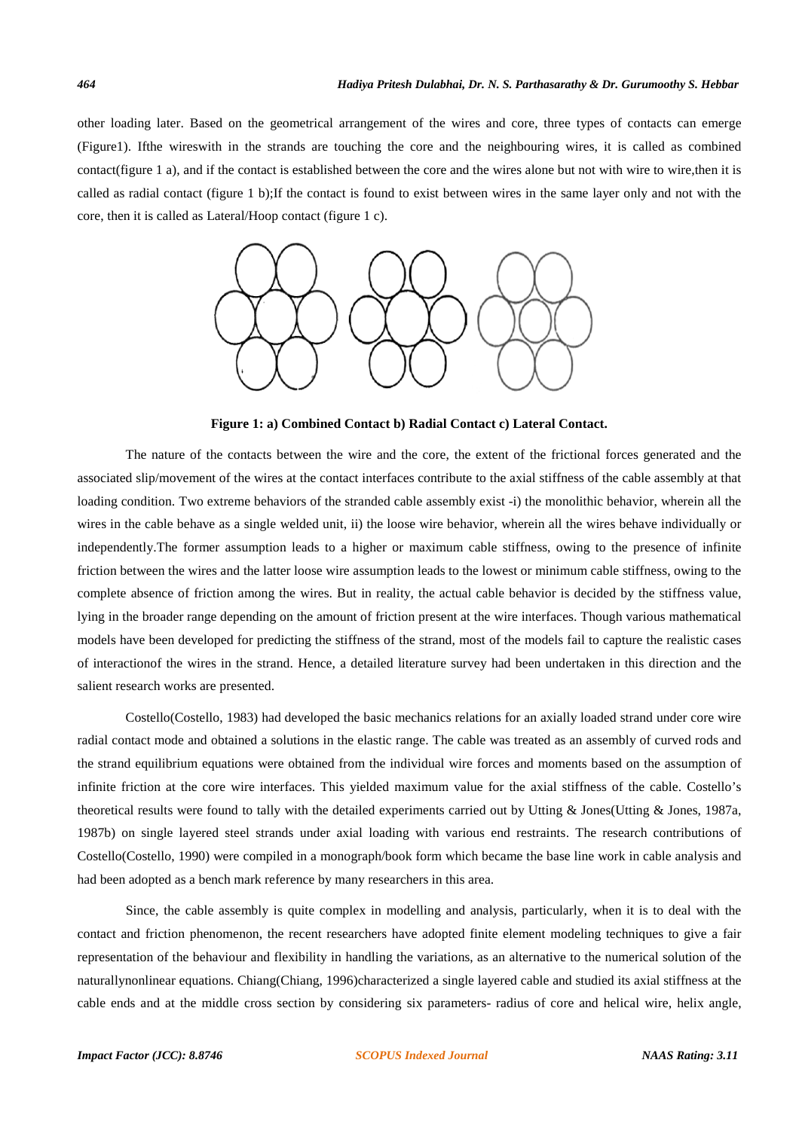other loading later. Based on the geometrical arrangement of the wires and core, three types of contacts can emerge (Figure1). Ifthe wireswith in the strands are touching the core and the neighbouring wires, it is called as combined contact(figure 1 a), and if the contact is established between the core and the wires alone but not with wire to wire,then it is called as radial contact (figure 1 b);If the contact is found to exist between wires in the same layer only and not with the core, then it is called as Lateral/Hoop contact (figure 1 c).



**Figure 1: a) Combined Contact b) Radial Contact c) Lateral Contact.** 

The nature of the contacts between the wire and the core, the extent of the frictional forces generated and the associated slip/movement of the wires at the contact interfaces contribute to the axial stiffness of the cable assembly at that loading condition. Two extreme behaviors of the stranded cable assembly exist -i) the monolithic behavior, wherein all the wires in the cable behave as a single welded unit, ii) the loose wire behavior, wherein all the wires behave individually or independently.The former assumption leads to a higher or maximum cable stiffness, owing to the presence of infinite friction between the wires and the latter loose wire assumption leads to the lowest or minimum cable stiffness, owing to the complete absence of friction among the wires. But in reality, the actual cable behavior is decided by the stiffness value, lying in the broader range depending on the amount of friction present at the wire interfaces. Though various mathematical models have been developed for predicting the stiffness of the strand, most of the models fail to capture the realistic cases of interactionof the wires in the strand. Hence, a detailed literature survey had been undertaken in this direction and the salient research works are presented.

Costello(Costello, 1983) had developed the basic mechanics relations for an axially loaded strand under core wire radial contact mode and obtained a solutions in the elastic range. The cable was treated as an assembly of curved rods and the strand equilibrium equations were obtained from the individual wire forces and moments based on the assumption of infinite friction at the core wire interfaces. This yielded maximum value for the axial stiffness of the cable. Costello's theoretical results were found to tally with the detailed experiments carried out by Utting & Jones(Utting & Jones, 1987a, 1987b) on single layered steel strands under axial loading with various end restraints. The research contributions of Costello(Costello, 1990) were compiled in a monograph/book form which became the base line work in cable analysis and had been adopted as a bench mark reference by many researchers in this area.

Since, the cable assembly is quite complex in modelling and analysis, particularly, when it is to deal with the contact and friction phenomenon, the recent researchers have adopted finite element modeling techniques to give a fair representation of the behaviour and flexibility in handling the variations, as an alternative to the numerical solution of the naturallynonlinear equations. Chiang(Chiang, 1996)characterized a single layered cable and studied its axial stiffness at the cable ends and at the middle cross section by considering six parameters- radius of core and helical wire, helix angle,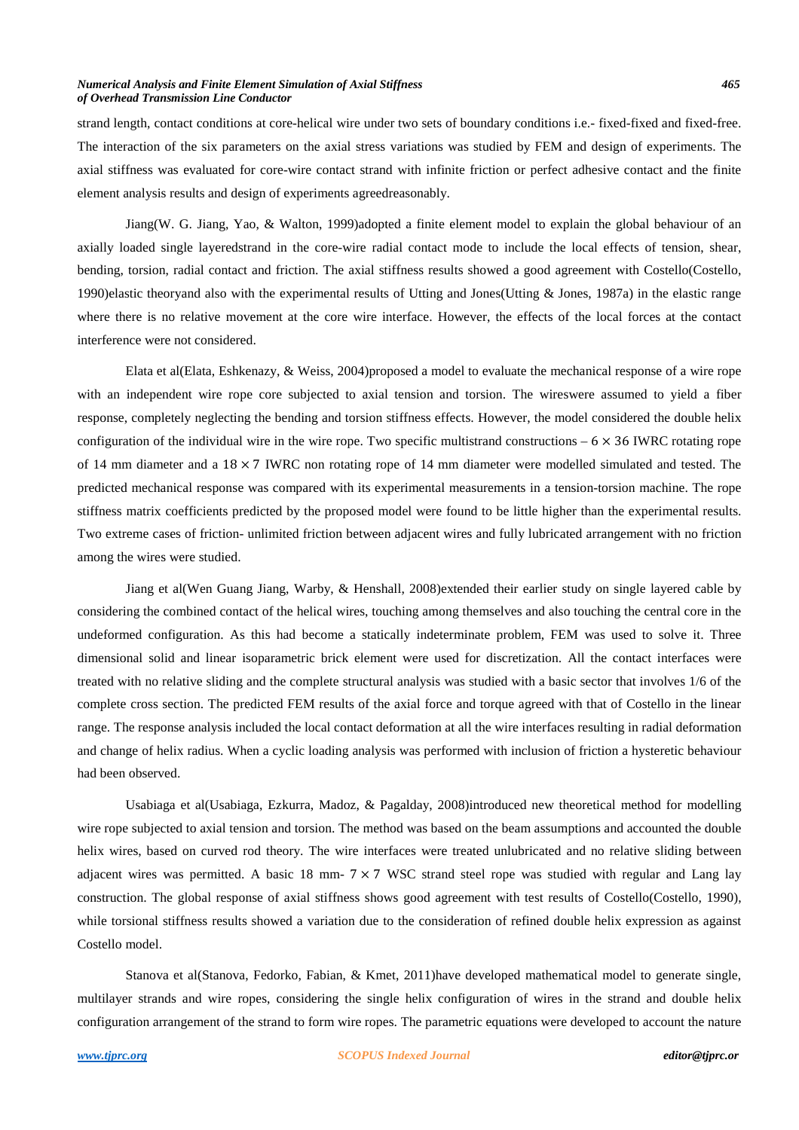#### *Numerical Analysis and Finite Element Simulation of Axial Stiffness 465 of Overhead Transmission Line Conductor*

strand length, contact conditions at core-helical wire under two sets of boundary conditions i.e.- fixed-fixed and fixed-free. The interaction of the six parameters on the axial stress variations was studied by FEM and design of experiments. The axial stiffness was evaluated for core-wire contact strand with infinite friction or perfect adhesive contact and the finite element analysis results and design of experiments agreedreasonably.

Jiang(W. G. Jiang, Yao, & Walton, 1999)adopted a finite element model to explain the global behaviour of an axially loaded single layeredstrand in the core-wire radial contact mode to include the local effects of tension, shear, bending, torsion, radial contact and friction. The axial stiffness results showed a good agreement with Costello(Costello, 1990)elastic theoryand also with the experimental results of Utting and Jones(Utting & Jones, 1987a) in the elastic range where there is no relative movement at the core wire interface. However, the effects of the local forces at the contact interference were not considered.

Elata et al(Elata, Eshkenazy, & Weiss, 2004)proposed a model to evaluate the mechanical response of a wire rope with an independent wire rope core subjected to axial tension and torsion. The wireswere assumed to yield a fiber response, completely neglecting the bending and torsion stiffness effects. However, the model considered the double helix configuration of the individual wire in the wire rope. Two specific multistrand constructions  $-6 \times 36$  IWRC rotating rope of 14 mm diameter and a  $18 \times 7$  IWRC non rotating rope of 14 mm diameter were modelled simulated and tested. The predicted mechanical response was compared with its experimental measurements in a tension-torsion machine. The rope stiffness matrix coefficients predicted by the proposed model were found to be little higher than the experimental results. Two extreme cases of friction- unlimited friction between adjacent wires and fully lubricated arrangement with no friction among the wires were studied.

Jiang et al(Wen Guang Jiang, Warby, & Henshall, 2008)extended their earlier study on single layered cable by considering the combined contact of the helical wires, touching among themselves and also touching the central core in the undeformed configuration. As this had become a statically indeterminate problem, FEM was used to solve it. Three dimensional solid and linear isoparametric brick element were used for discretization. All the contact interfaces were treated with no relative sliding and the complete structural analysis was studied with a basic sector that involves 1/6 of the complete cross section. The predicted FEM results of the axial force and torque agreed with that of Costello in the linear range. The response analysis included the local contact deformation at all the wire interfaces resulting in radial deformation and change of helix radius. When a cyclic loading analysis was performed with inclusion of friction a hysteretic behaviour had been observed.

Usabiaga et al(Usabiaga, Ezkurra, Madoz, & Pagalday, 2008)introduced new theoretical method for modelling wire rope subjected to axial tension and torsion. The method was based on the beam assumptions and accounted the double helix wires, based on curved rod theory. The wire interfaces were treated unlubricated and no relative sliding between adjacent wires was permitted. A basic 18 mm- 7 × 7 WSC strand steel rope was studied with regular and Lang lay construction. The global response of axial stiffness shows good agreement with test results of Costello(Costello, 1990), while torsional stiffness results showed a variation due to the consideration of refined double helix expression as against Costello model.

Stanova et al(Stanova, Fedorko, Fabian, & Kmet, 2011)have developed mathematical model to generate single, multilayer strands and wire ropes, considering the single helix configuration of wires in the strand and double helix configuration arrangement of the strand to form wire ropes. The parametric equations were developed to account the nature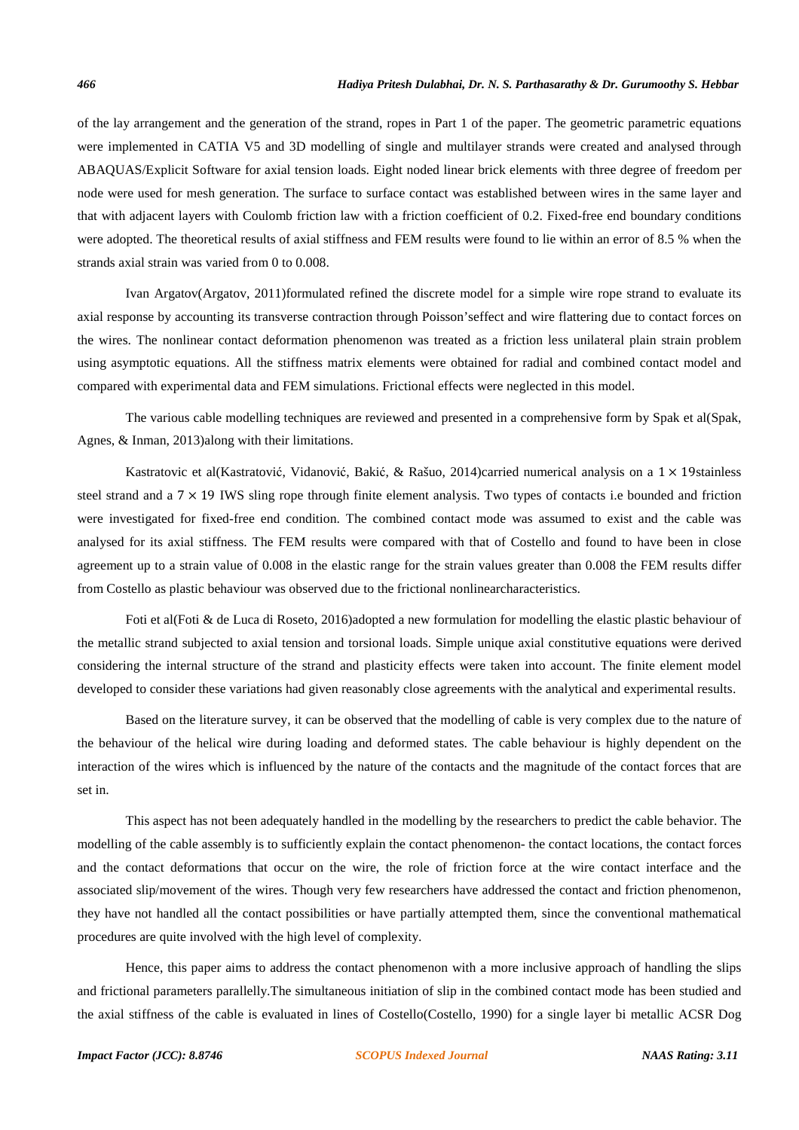of the lay arrangement and the generation of the strand, ropes in Part 1 of the paper. The geometric parametric equations were implemented in CATIA V5 and 3D modelling of single and multilayer strands were created and analysed through ABAQUAS/Explicit Software for axial tension loads. Eight noded linear brick elements with three degree of freedom per node were used for mesh generation. The surface to surface contact was established between wires in the same layer and that with adjacent layers with Coulomb friction law with a friction coefficient of 0.2. Fixed-free end boundary conditions were adopted. The theoretical results of axial stiffness and FEM results were found to lie within an error of 8.5 % when the strands axial strain was varied from 0 to 0.008.

Ivan Argatov(Argatov, 2011)formulated refined the discrete model for a simple wire rope strand to evaluate its axial response by accounting its transverse contraction through Poisson'seffect and wire flattering due to contact forces on the wires. The nonlinear contact deformation phenomenon was treated as a friction less unilateral plain strain problem using asymptotic equations. All the stiffness matrix elements were obtained for radial and combined contact model and compared with experimental data and FEM simulations. Frictional effects were neglected in this model.

The various cable modelling techniques are reviewed and presented in a comprehensive form by Spak et al(Spak, Agnes, & Inman, 2013)along with their limitations.

Kastratovic et al(Kastratović, Vidanović, Bakić, & Rašuo, 2014)carried numerical analysis on a 1 × 19stainless steel strand and a  $7 \times 19$  IWS sling rope through finite element analysis. Two types of contacts i.e bounded and friction were investigated for fixed-free end condition. The combined contact mode was assumed to exist and the cable was analysed for its axial stiffness. The FEM results were compared with that of Costello and found to have been in close agreement up to a strain value of 0.008 in the elastic range for the strain values greater than 0.008 the FEM results differ from Costello as plastic behaviour was observed due to the frictional nonlinearcharacteristics.

Foti et al(Foti & de Luca di Roseto, 2016)adopted a new formulation for modelling the elastic plastic behaviour of the metallic strand subjected to axial tension and torsional loads. Simple unique axial constitutive equations were derived considering the internal structure of the strand and plasticity effects were taken into account. The finite element model developed to consider these variations had given reasonably close agreements with the analytical and experimental results.

Based on the literature survey, it can be observed that the modelling of cable is very complex due to the nature of the behaviour of the helical wire during loading and deformed states. The cable behaviour is highly dependent on the interaction of the wires which is influenced by the nature of the contacts and the magnitude of the contact forces that are set in.

This aspect has not been adequately handled in the modelling by the researchers to predict the cable behavior. The modelling of the cable assembly is to sufficiently explain the contact phenomenon- the contact locations, the contact forces and the contact deformations that occur on the wire, the role of friction force at the wire contact interface and the associated slip/movement of the wires. Though very few researchers have addressed the contact and friction phenomenon, they have not handled all the contact possibilities or have partially attempted them, since the conventional mathematical procedures are quite involved with the high level of complexity.

Hence, this paper aims to address the contact phenomenon with a more inclusive approach of handling the slips and frictional parameters parallelly.The simultaneous initiation of slip in the combined contact mode has been studied and the axial stiffness of the cable is evaluated in lines of Costello(Costello, 1990) for a single layer bi metallic ACSR Dog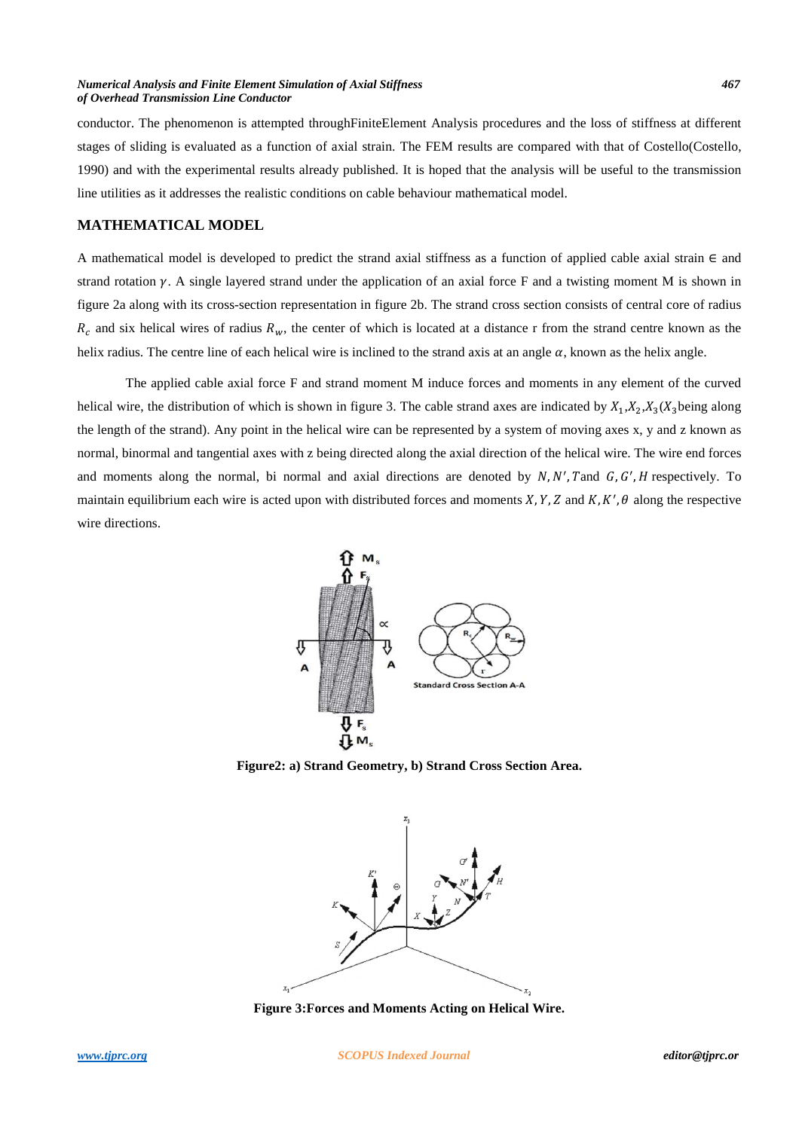#### *Numerical Analysis and Finite Element Simulation of Axial Stiffness 467 of Overhead Transmission Line Conductor*

conductor. The phenomenon is attempted throughFiniteElement Analysis procedures and the loss of stiffness at different stages of sliding is evaluated as a function of axial strain. The FEM results are compared with that of Costello(Costello, 1990) and with the experimental results already published. It is hoped that the analysis will be useful to the transmission line utilities as it addresses the realistic conditions on cable behaviour mathematical model.

## **MATHEMATICAL MODEL**

A mathematical model is developed to predict the strand axial stiffness as a function of applied cable axial strain  $\in$  and strand rotation  $\gamma$ . A single layered strand under the application of an axial force F and a twisting moment M is shown in figure 2a along with its cross-section representation in figure 2b. The strand cross section consists of central core of radius  $R_c$  and six helical wires of radius  $R_w$ , the center of which is located at a distance r from the strand centre known as the helix radius. The centre line of each helical wire is inclined to the strand axis at an angle  $\alpha$ , known as the helix angle.

The applied cable axial force F and strand moment M induce forces and moments in any element of the curved helical wire, the distribution of which is shown in figure 3. The cable strand axes are indicated by  $X_1, X_2, X_3(X_3)$  being along the length of the strand). Any point in the helical wire can be represented by a system of moving axes x, y and z known as normal, binormal and tangential axes with z being directed along the axial direction of the helical wire. The wire end forces and moments along the normal, bi normal and axial directions are denoted by  $N, N', T$  and  $G, G', H$  respectively. To maintain equilibrium each wire is acted upon with distributed forces and moments  $X, Y, Z$  and  $K, K', \theta$  along the respective wire directions.



**Figure2: a) Strand Geometry, b) Strand Cross Section Area.** 



**Figure 3:Forces and Moments Acting on Helical Wire.**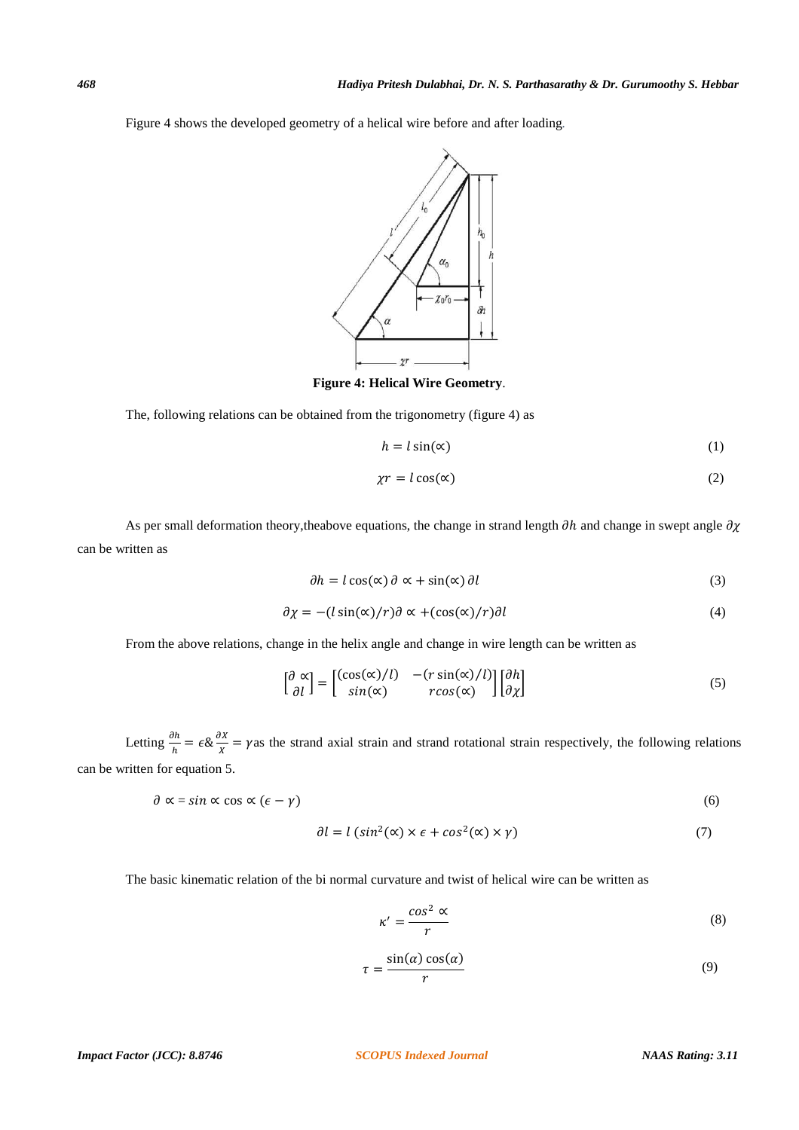Figure 4 shows the developed geometry of a helical wire before and after loading*.*



**Figure 4: Helical Wire Geometry**.

The, following relations can be obtained from the trigonometry (figure 4) as

$$
h = l\sin(\alpha) \tag{1}
$$

$$
\chi r = l \cos(\alpha) \tag{2}
$$

As per small deformation theory, theabove equations, the change in strand length  $\partial h$  and change in swept angle  $\partial \chi$ can be written as

$$
\partial h = l \cos(\alpha) \partial \alpha + \sin(\alpha) \partial l \tag{3}
$$

$$
\partial \chi = -(l \sin(\alpha)/r) \partial \alpha + (\cos(\alpha)/r) \partial l \tag{4}
$$

From the above relations, change in the helix angle and change in wire length can be written as

$$
\begin{bmatrix} \partial \propto \\ \partial l \end{bmatrix} = \begin{bmatrix} (\cos(\alpha)/l) & - (r\sin(\alpha)/l) \\ \sin(\alpha) & r\cos(\alpha) \end{bmatrix} \begin{bmatrix} \partial h \\ \partial \chi \end{bmatrix}
$$
 (5)

Letting  $\frac{\partial h}{\partial h} = \epsilon \& \frac{\partial X}{X} = \gamma$  as the strand axial strain and strand rotational strain respectively, the following relations can be written for equation 5.

$$
\partial \alpha = \sin \alpha \cos \alpha \left( \epsilon - \gamma \right) \tag{6}
$$

$$
\partial l = l \left( \sin^2(\alpha) \times \epsilon + \cos^2(\alpha) \times \gamma \right) \tag{7}
$$

The basic kinematic relation of the bi normal curvature and twist of helical wire can be written as

$$
\kappa' = \frac{\cos^2 \alpha}{r} \tag{8}
$$

$$
\tau = \frac{\sin(\alpha)\cos(\alpha)}{r}
$$
 (9)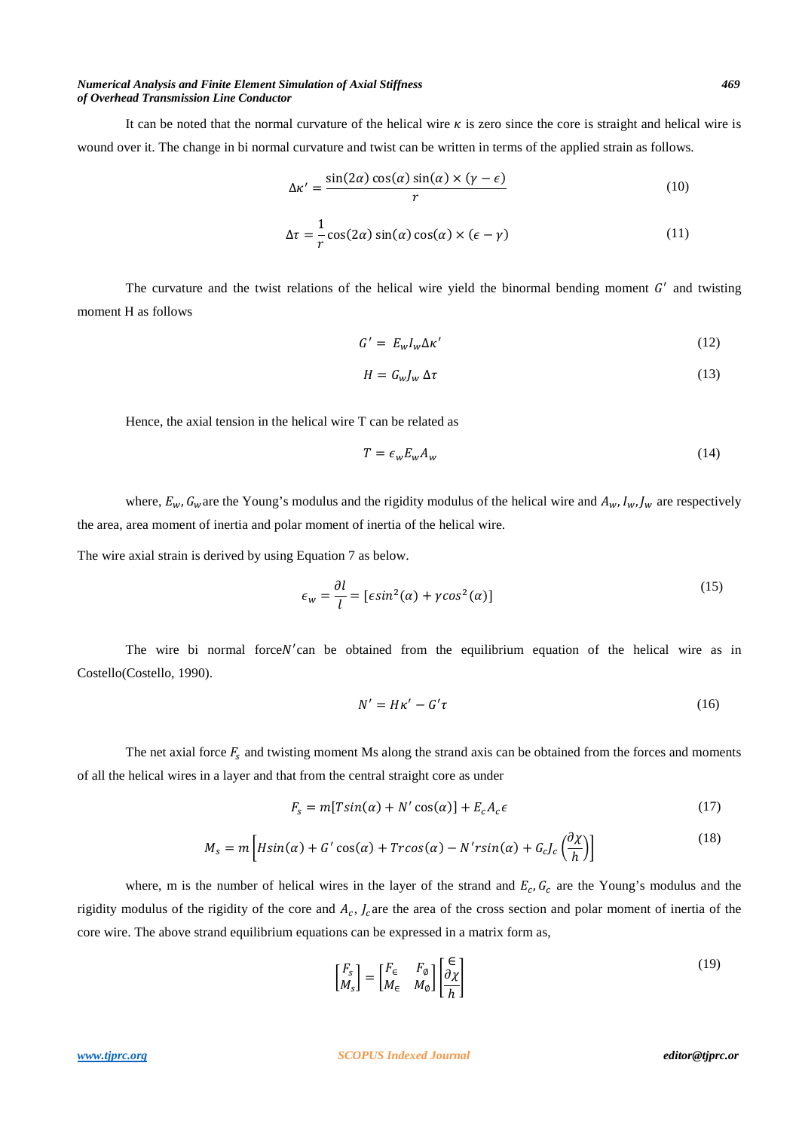#### *Numerical Analysis and Finite Element Simulation of Axial Stiffness 469 of Overhead Transmission Line Conductor*

It can be noted that the normal curvature of the helical wire  $\kappa$  is zero since the core is straight and helical wire is wound over it. The change in bi normal curvature and twist can be written in terms of the applied strain as follows.

$$
\Delta \kappa' = \frac{\sin(2\alpha)\cos(\alpha)\sin(\alpha) \times (\gamma - \epsilon)}{r}
$$
 (10)

$$
\Delta \tau = \frac{1}{r} \cos(2\alpha) \sin(\alpha) \cos(\alpha) \times (\epsilon - \gamma)
$$
 (11)

The curvature and the twist relations of the helical wire yield the binormal bending moment  $G'$  and twisting moment H as follows

$$
G' = E_w I_w \Delta \kappa'
$$
 (12)

$$
H = G_w J_w \, \Delta \tau \tag{13}
$$

Hence, the axial tension in the helical wire T can be related as

$$
T = \epsilon_w E_w A_w \tag{14}
$$

where,  $E_w$ ,  $G_w$  are the Young's modulus and the rigidity modulus of the helical wire and  $A_w$ ,  $I_w$ ,  $J_w$  are respectively the area, area moment of inertia and polar moment of inertia of the helical wire.

The wire axial strain is derived by using Equation 7 as below.

$$
\epsilon_{w} = \frac{\partial l}{l} = [\epsilon \sin^{2}(\alpha) + \gamma \cos^{2}(\alpha)] \tag{15}
$$

The wire bi normal force  $N'$  can be obtained from the equilibrium equation of the helical wire as in Costello(Costello, 1990).

$$
N' = H\kappa' - G'\tau \tag{16}
$$

The net axial force  $F_s$  and twisting moment Ms along the strand axis can be obtained from the forces and moments of all the helical wires in a layer and that from the central straight core as under

$$
F_s = m[T\sin(\alpha) + N'\cos(\alpha)] + E_c A_c \epsilon \tag{17}
$$

$$
M_s = m \left[ H\sin(\alpha) + G'\cos(\alpha) + T r \cos(\alpha) - N' r \sin(\alpha) + G_c J_c \left( \frac{\partial \chi}{h} \right) \right]
$$
(18)

where, m is the number of helical wires in the layer of the strand and  $E_c$ ,  $G_c$  are the Young's modulus and the rigidity modulus of the rigidity of the core and  $A_c$ ,  $J_c$  are the area of the cross section and polar moment of inertia of the core wire. The above strand equilibrium equations can be expressed in a matrix form as,

$$
\begin{bmatrix} F_s \\ M_s \end{bmatrix} = \begin{bmatrix} F_\in & F_\emptyset \\ M_\in & M_\emptyset \end{bmatrix} \begin{bmatrix} \frac{\infty}{2} \\ \frac{\partial \chi}{h} \end{bmatrix}
$$
\n(19)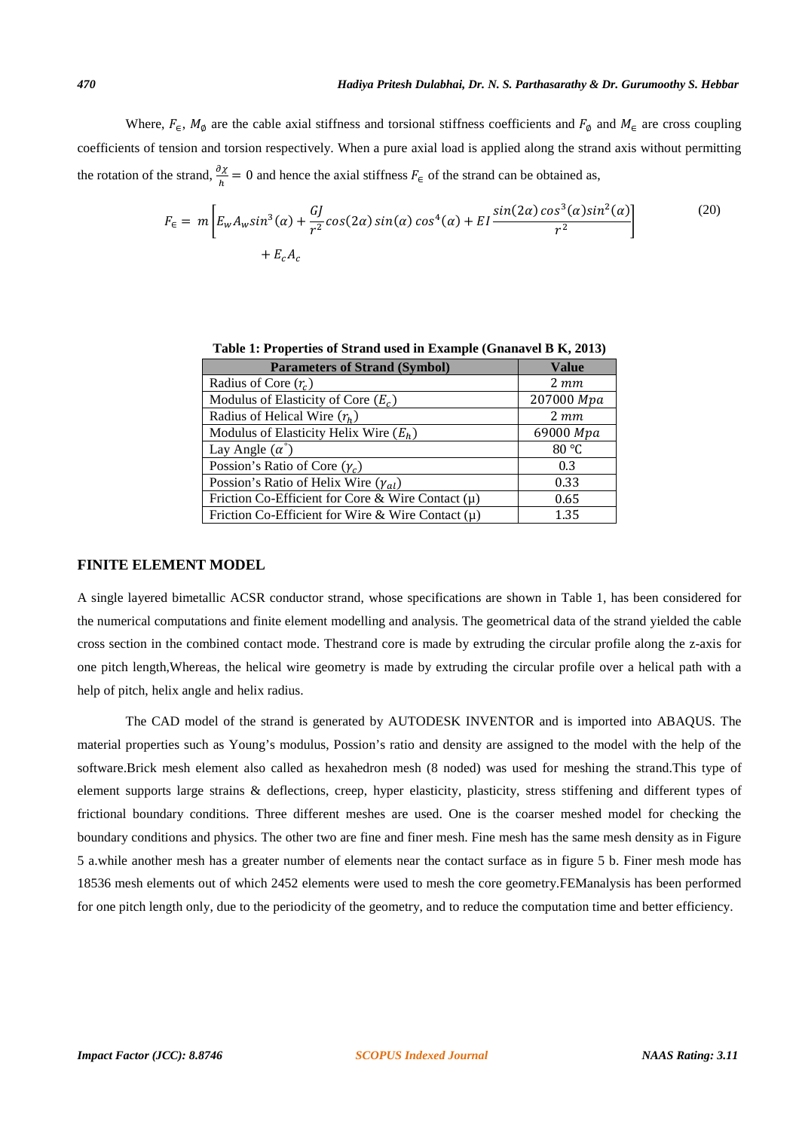Where,  $F_{\epsilon}$ ,  $M_{\phi}$  are the cable axial stiffness and torsional stiffness coefficients and  $F_{\phi}$  and  $M_{\epsilon}$  are cross coupling coefficients of tension and torsion respectively. When a pure axial load is applied along the strand axis without permitting the rotation of the strand,  $\frac{\partial x}{\partial h} = 0$  and hence the axial stiffness  $F_{\epsilon}$  of the strand can be obtained as,

$$
F_{\epsilon} = m \left[ E_w A_w \sin^3(\alpha) + \frac{GI}{r^2} \cos(2\alpha) \sin(\alpha) \cos^4(\alpha) + EI \frac{\sin(2\alpha) \cos^3(\alpha) \sin^2(\alpha)}{r^2} + E_c A_c \right]
$$
(20)

| <b>Parameters of Strand (Symbol)</b>                  | <b>Value</b> |
|-------------------------------------------------------|--------------|
| Radius of Core $(r_c)$                                | $2 \, mm$    |
| Modulus of Elasticity of Core $(E_c)$                 | 207000 Mpa   |
| Radius of Helical Wire $(r_h)$                        | $2 \, mm$    |
| Modulus of Elasticity Helix Wire $(E_h)$              | 69000 Mpa    |
| Lay Angle $(\alpha^{\degree})$                        | 80 °C        |
| Possion's Ratio of Core $(\gamma_c)$                  | 0.3          |
| Possion's Ratio of Helix Wire $(\gamma_{al})$         | 0.33         |
| Friction Co-Efficient for Core & Wire Contact $(\mu)$ | 0.65         |
| Friction Co-Efficient for Wire & Wire Contact $(\mu)$ | 1.35         |

**Table 1: Properties of Strand used in Example (Gnanavel B K, 2013)** 

# **FINITE ELEMENT MODEL**

A single layered bimetallic ACSR conductor strand, whose specifications are shown in Table 1, has been considered for the numerical computations and finite element modelling and analysis. The geometrical data of the strand yielded the cable cross section in the combined contact mode. Thestrand core is made by extruding the circular profile along the z-axis for one pitch length,Whereas, the helical wire geometry is made by extruding the circular profile over a helical path with a help of pitch, helix angle and helix radius.

The CAD model of the strand is generated by AUTODESK INVENTOR and is imported into ABAQUS. The material properties such as Young's modulus, Possion's ratio and density are assigned to the model with the help of the software.Brick mesh element also called as hexahedron mesh (8 noded) was used for meshing the strand.This type of element supports large strains & deflections, creep, hyper elasticity, plasticity, stress stiffening and different types of frictional boundary conditions. Three different meshes are used. One is the coarser meshed model for checking the boundary conditions and physics. The other two are fine and finer mesh. Fine mesh has the same mesh density as in Figure 5 a.while another mesh has a greater number of elements near the contact surface as in figure 5 b. Finer mesh mode has 18536 mesh elements out of which 2452 elements were used to mesh the core geometry.FEManalysis has been performed for one pitch length only, due to the periodicity of the geometry, and to reduce the computation time and better efficiency.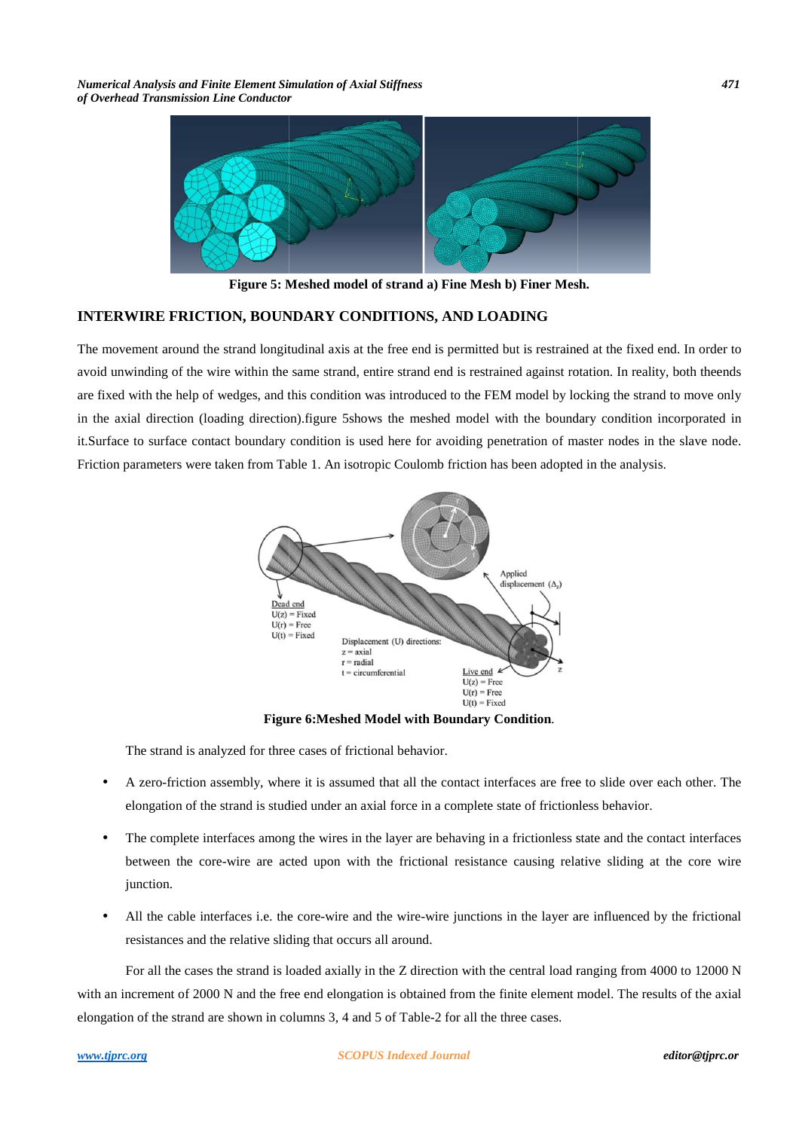*Numerical Analysis and Finite Element Simulation of Axial Stiffness of Overhead Transmission Line Conductor*



**Figure 5: Meshed model of strand a) Fine Mesh b) Finer Mesh.**

## **INTERWIRE FRICTION, BOUNDARY CONDITIONS, AND LOADING**

The movement around the strand longitudinal axis at the free end is permitted but is restrained at the fixed end. I In order to avoid unwinding of the wire within the same strand, entire strand end is restrained against rotation. In reality, both theends are fixed with the help of wedges, and this condition was introduced to the FEM model by locking the strand to move only in the axial direction (loading direction).figure 5shows the meshed model with the boundary condition incorporated in it.Surface to surface contact boundary condition is used here for avoiding penetration of master nodes in the slave node. Friction parameters were taken from Table 1. An isotropic Coulomb friction has been adopted in the analysis.



**Figure 6 6:Meshed Model with Boundary Condition***.*

The strand is analyzed for three cases of frictional behavior.

- A zero-friction assembly, where it is assumed that all the contact interfaces are free to slide over each other. The elongation of the strand is studied under an axial force in a complete state of frictionless behavior.
- The complete interfaces among the wires in the layer are behaving in a frictionless state and the contact interfaces between the core-wire are acted upon with the frictional resistance causing relative sliding at the core wire junction. friction assembly, where it is assumed that all the contact interfaces are free to slide over each other. The<br>ion of the strand is studied under an axial force in a complete state of frictionless behavior.<br>nplete interface
- All the cable interfaces i.e. the core-wire and the wire-wire junctions in the layer are influenced by the frictional resistances and the relative sliding that occurs all around.

For all the cases the strand is loaded axially in the Z direction with the central load ranging from 4000 to 12000 N with an increment of 2000 N and the free end elongation is obtained from the finite element model. The results of the axial elongation of the strand are shown in columns 3, 4 and 5 of Table-2 for all the three cases.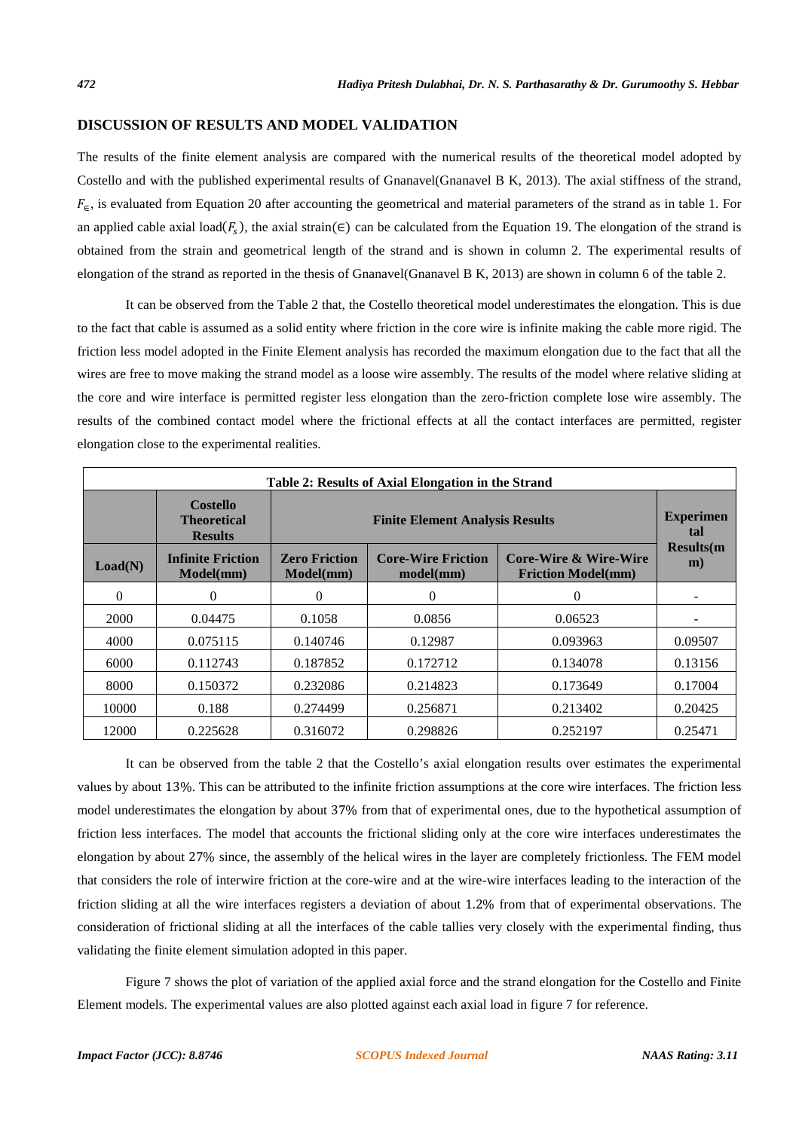### **DISCUSSION OF RESULTS AND MODEL VALIDATION**

The results of the finite element analysis are compared with the numerical results of the theoretical model adopted by Costello and with the published experimental results of Gnanavel(Gnanavel B K, 2013). The axial stiffness of the strand,  $F_{\epsilon}$ , is evaluated from Equation 20 after accounting the geometrical and material parameters of the strand as in table 1. For an applied cable axial load( $F_s$ ), the axial strain( $\epsilon$ ) can be calculated from the Equation 19. The elongation of the strand is obtained from the strain and geometrical length of the strand and is shown in column 2. The experimental results of elongation of the strand as reported in the thesis of Gnanavel(Gnanavel B K, 2013) are shown in column 6 of the table 2.

It can be observed from the Table 2 that, the Costello theoretical model underestimates the elongation. This is due to the fact that cable is assumed as a solid entity where friction in the core wire is infinite making the cable more rigid. The friction less model adopted in the Finite Element analysis has recorded the maximum elongation due to the fact that all the wires are free to move making the strand model as a loose wire assembly. The results of the model where relative sliding at the core and wire interface is permitted register less elongation than the zero-friction complete lose wire assembly. The results of the combined contact model where the frictional effects at all the contact interfaces are permitted, register elongation close to the experimental realities.

| Table 2: Results of Axial Elongation in the Strand |                                                         |                                        |                                        |                                                    |                          |  |
|----------------------------------------------------|---------------------------------------------------------|----------------------------------------|----------------------------------------|----------------------------------------------------|--------------------------|--|
|                                                    | <b>Costello</b><br><b>Theoretical</b><br><b>Results</b> | <b>Finite Element Analysis Results</b> |                                        |                                                    | <b>Experimen</b><br>tal  |  |
| Load(N)                                            | <b>Infinite Friction</b><br>Model(mm)                   | <b>Zero Friction</b><br>Model(mm)      | <b>Core-Wire Friction</b><br>model(mm) | Core-Wire & Wire-Wire<br><b>Friction Model(mm)</b> | <b>Results</b> (m)<br>m) |  |
| $\theta$                                           | $\Omega$                                                | 0                                      | 0                                      | $\boldsymbol{0}$                                   |                          |  |
| 2000                                               | 0.04475                                                 | 0.1058                                 | 0.0856                                 | 0.06523                                            |                          |  |
| 4000                                               | 0.075115                                                | 0.140746                               | 0.12987                                | 0.093963                                           | 0.09507                  |  |
| 6000                                               | 0.112743                                                | 0.187852                               | 0.172712                               | 0.134078                                           | 0.13156                  |  |
| 8000                                               | 0.150372                                                | 0.232086                               | 0.214823                               | 0.173649                                           | 0.17004                  |  |
| 10000                                              | 0.188                                                   | 0.274499                               | 0.256871                               | 0.213402                                           | 0.20425                  |  |
| 12000                                              | 0.225628                                                | 0.316072                               | 0.298826                               | 0.252197                                           | 0.25471                  |  |

It can be observed from the table 2 that the Costello's axial elongation results over estimates the experimental values by about 13%. This can be attributed to the infinite friction assumptions at the core wire interfaces. The friction less model underestimates the elongation by about 37% from that of experimental ones, due to the hypothetical assumption of friction less interfaces. The model that accounts the frictional sliding only at the core wire interfaces underestimates the elongation by about 27% since, the assembly of the helical wires in the layer are completely frictionless. The FEM model that considers the role of interwire friction at the core-wire and at the wire-wire interfaces leading to the interaction of the friction sliding at all the wire interfaces registers a deviation of about 1.2% from that of experimental observations. The consideration of frictional sliding at all the interfaces of the cable tallies very closely with the experimental finding, thus validating the finite element simulation adopted in this paper.

Figure 7 shows the plot of variation of the applied axial force and the strand elongation for the Costello and Finite Element models. The experimental values are also plotted against each axial load in figure 7 for reference.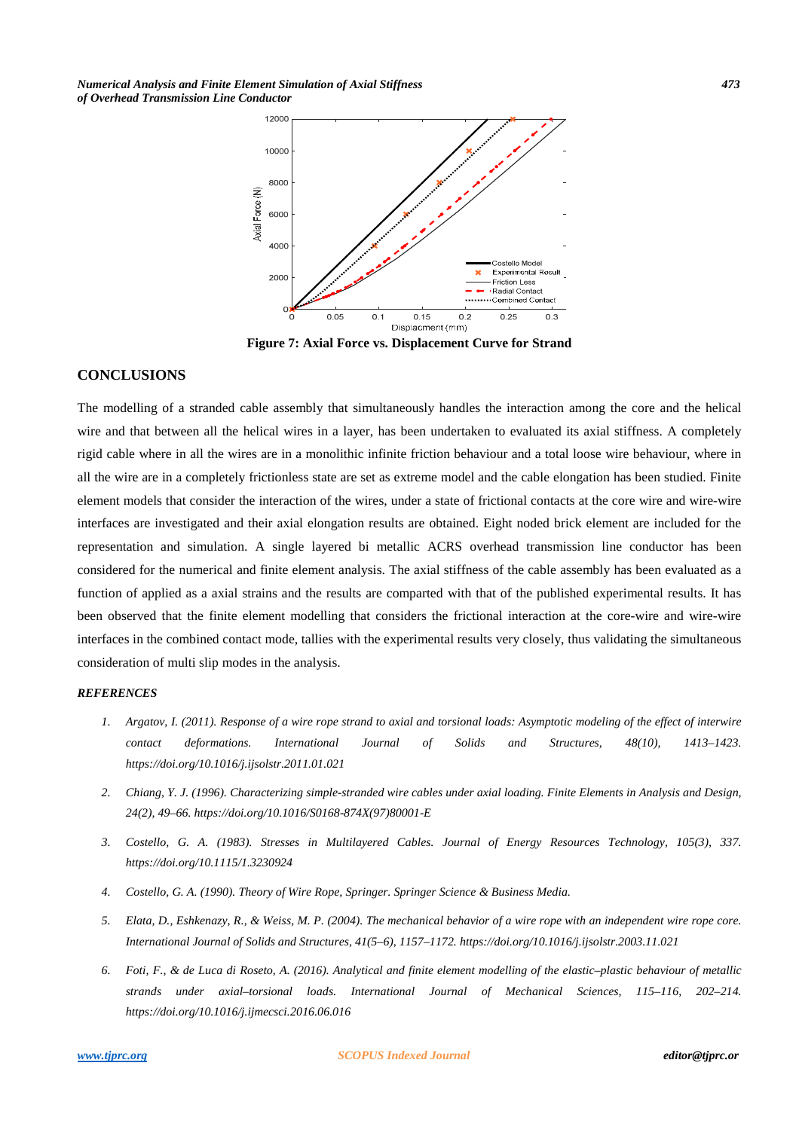*Numerical Analysis and Finite Element Simulation of Axial Stiffness 473 of Overhead Transmission Line Conductor* 



**Figure 7: Axial Force vs. Displacement Curve for Strand** 

## **CONCLUSIONS**

The modelling of a stranded cable assembly that simultaneously handles the interaction among the core and the helical wire and that between all the helical wires in a layer, has been undertaken to evaluated its axial stiffness. A completely rigid cable where in all the wires are in a monolithic infinite friction behaviour and a total loose wire behaviour, where in all the wire are in a completely frictionless state are set as extreme model and the cable elongation has been studied. Finite element models that consider the interaction of the wires, under a state of frictional contacts at the core wire and wire-wire interfaces are investigated and their axial elongation results are obtained. Eight noded brick element are included for the representation and simulation. A single layered bi metallic ACRS overhead transmission line conductor has been considered for the numerical and finite element analysis. The axial stiffness of the cable assembly has been evaluated as a function of applied as a axial strains and the results are comparted with that of the published experimental results. It has been observed that the finite element modelling that considers the frictional interaction at the core-wire and wire-wire interfaces in the combined contact mode, tallies with the experimental results very closely, thus validating the simultaneous consideration of multi slip modes in the analysis.

#### *REFERENCES*

- *1. Argatov, I. (2011). Response of a wire rope strand to axial and torsional loads: Asymptotic modeling of the effect of interwire contact deformations. International Journal of Solids and Structures, 48(10), 1413–1423. https://doi.org/10.1016/j.ijsolstr.2011.01.021*
- *2. Chiang, Y. J. (1996). Characterizing simple-stranded wire cables under axial loading. Finite Elements in Analysis and Design, 24(2), 49–66. https://doi.org/10.1016/S0168-874X(97)80001-E*
- *3. Costello, G. A. (1983). Stresses in Multilayered Cables. Journal of Energy Resources Technology, 105(3), 337. https://doi.org/10.1115/1.3230924*
- *4. Costello, G. A. (1990). Theory of Wire Rope, Springer. Springer Science & Business Media.*
- *5. Elata, D., Eshkenazy, R., & Weiss, M. P. (2004). The mechanical behavior of a wire rope with an independent wire rope core. International Journal of Solids and Structures, 41(5–6), 1157–1172. https://doi.org/10.1016/j.ijsolstr.2003.11.021*
- *6. Foti, F., & de Luca di Roseto, A. (2016). Analytical and finite element modelling of the elastic–plastic behaviour of metallic strands under axial–torsional loads. International Journal of Mechanical Sciences, 115–116, 202–214. https://doi.org/10.1016/j.ijmecsci.2016.06.016*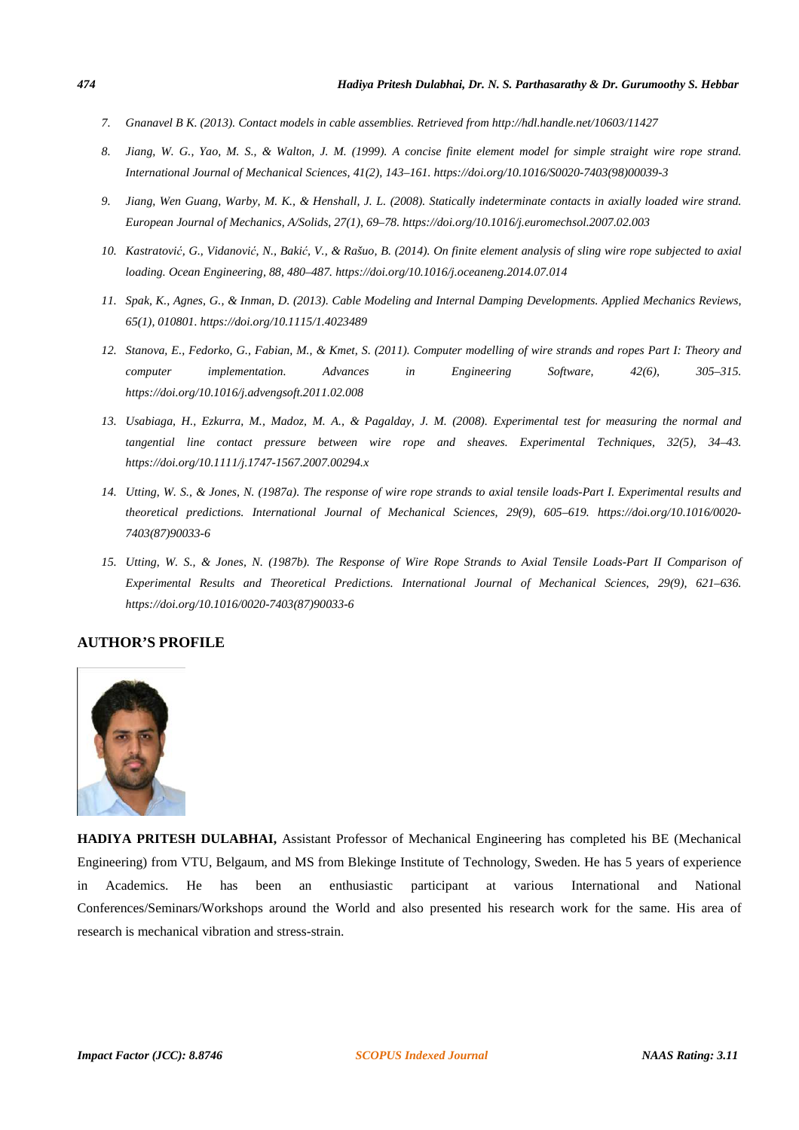- *7. Gnanavel B K. (2013). Contact models in cable assemblies. Retrieved from http://hdl.handle.net/10603/11427*
- *8. Jiang, W. G., Yao, M. S., & Walton, J. M. (1999). A concise finite element model for simple straight wire rope strand. International Journal of Mechanical Sciences, 41(2), 143–161. https://doi.org/10.1016/S0020-7403(98)00039-3*
- *9. Jiang, Wen Guang, Warby, M. K., & Henshall, J. L. (2008). Statically indeterminate contacts in axially loaded wire strand. European Journal of Mechanics, A/Solids, 27(1), 69–78. https://doi.org/10.1016/j.euromechsol.2007.02.003*
- *10. Kastratović, G., Vidanović, N., Bakić, V., & Rašuo, B. (2014). On finite element analysis of sling wire rope subjected to axial loading. Ocean Engineering, 88, 480–487. https://doi.org/10.1016/j.oceaneng.2014.07.014*
- *11. Spak, K., Agnes, G., & Inman, D. (2013). Cable Modeling and Internal Damping Developments. Applied Mechanics Reviews, 65(1), 010801. https://doi.org/10.1115/1.4023489*
- *12. Stanova, E., Fedorko, G., Fabian, M., & Kmet, S. (2011). Computer modelling of wire strands and ropes Part I: Theory and computer implementation. Advances in Engineering Software, 42(6), 305–315. https://doi.org/10.1016/j.advengsoft.2011.02.008*
- *13. Usabiaga, H., Ezkurra, M., Madoz, M. A., & Pagalday, J. M. (2008). Experimental test for measuring the normal and tangential line contact pressure between wire rope and sheaves. Experimental Techniques, 32(5), 34–43. https://doi.org/10.1111/j.1747-1567.2007.00294.x*
- *14. Utting, W. S., & Jones, N. (1987a). The response of wire rope strands to axial tensile loads-Part I. Experimental results and theoretical predictions. International Journal of Mechanical Sciences, 29(9), 605–619. https://doi.org/10.1016/0020- 7403(87)90033-6*
- *15. Utting, W. S., & Jones, N. (1987b). The Response of Wire Rope Strands to Axial Tensile Loads-Part II Comparison of Experimental Results and Theoretical Predictions. International Journal of Mechanical Sciences, 29(9), 621–636. https://doi.org/10.1016/0020-7403(87)90033-6*

## **AUTHOR'S PROFILE**



**HADIYA PRITESH DULABHAI,** Assistant Professor of Mechanical Engineering has completed his BE (Mechanical Engineering) from VTU, Belgaum, and MS from Blekinge Institute of Technology, Sweden. He has 5 years of experience in Academics. He has been an enthusiastic participant at various International and National Conferences/Seminars/Workshops around the World and also presented his research work for the same. His area of research is mechanical vibration and stress-strain.